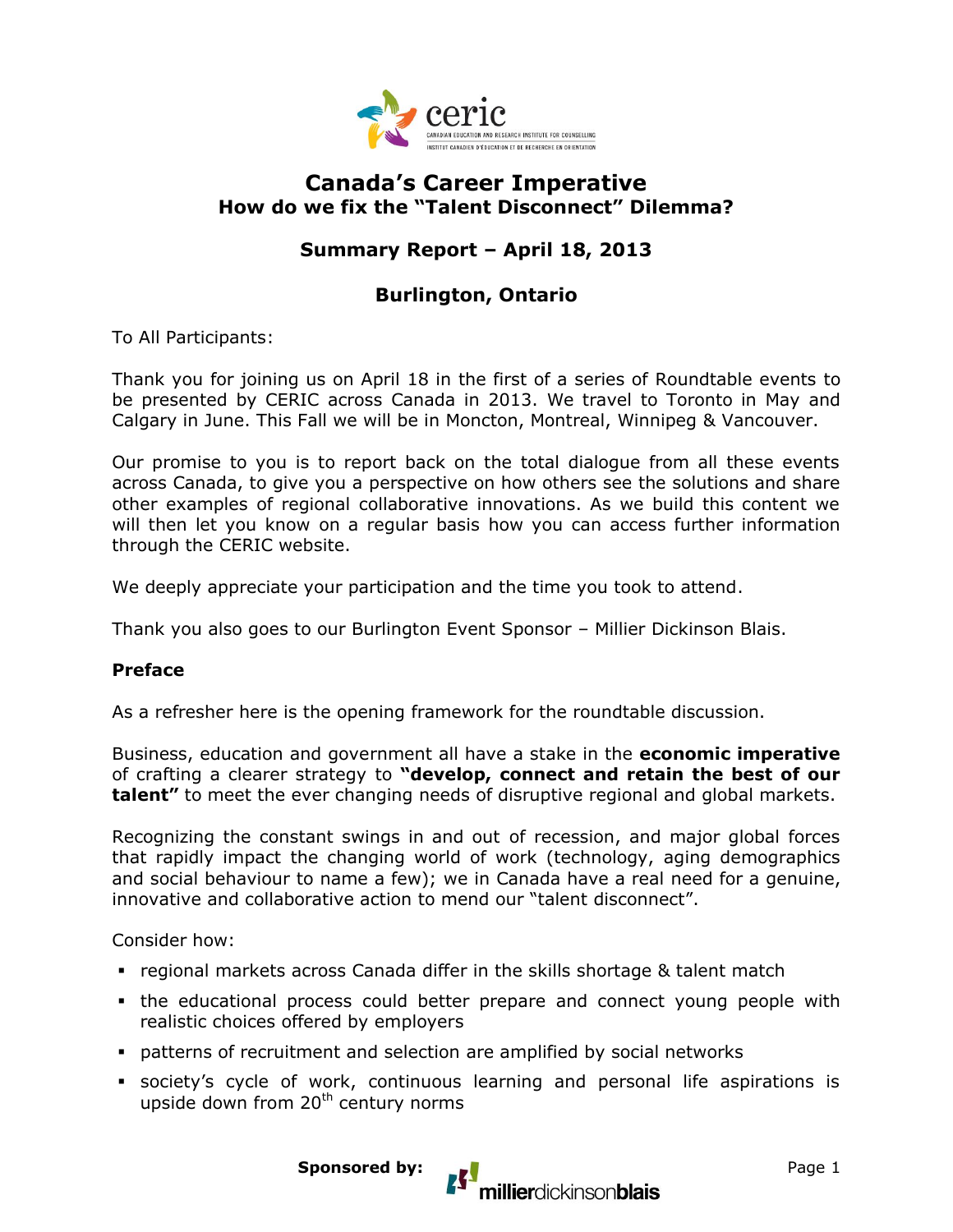

### **Canada's Career Imperative How do we fix the "Talent Disconnect" Dilemma?**

# **Summary Report – April 18, 2013**

## **Burlington, Ontario**

To All Participants:

Thank you for joining us on April 18 in the first of a series of Roundtable events to be presented by CERIC across Canada in 2013. We travel to Toronto in May and Calgary in June. This Fall we will be in Moncton, Montreal, Winnipeg & Vancouver.

Our promise to you is to report back on the total dialogue from all these events across Canada, to give you a perspective on how others see the solutions and share other examples of regional collaborative innovations. As we build this content we will then let you know on a regular basis how you can access further information through the CERIC website.

We deeply appreciate your participation and the time you took to attend.

Thank you also goes to our Burlington Event Sponsor – Millier Dickinson Blais.

#### **Preface**

As a refresher here is the opening framework for the roundtable discussion.

Business, education and government all have a stake in the **economic imperative**  of crafting a clearer strategy to **"develop, connect and retain the best of our talent"** to meet the ever changing needs of disruptive regional and global markets.

Recognizing the constant swings in and out of recession, and major global forces that rapidly impact the changing world of work (technology, aging demographics and social behaviour to name a few); we in Canada have a real need for a genuine, innovative and collaborative action to mend our "talent disconnect".

Consider how:

- regional markets across Canada differ in the skills shortage & talent match
- the educational process could better prepare and connect young people with realistic choices offered by employers
- patterns of recruitment and selection are amplified by social networks
- society's cycle of work, continuous learning and personal life aspirations is upside down from  $20<sup>th</sup>$  century norms

millierdickinsonblais

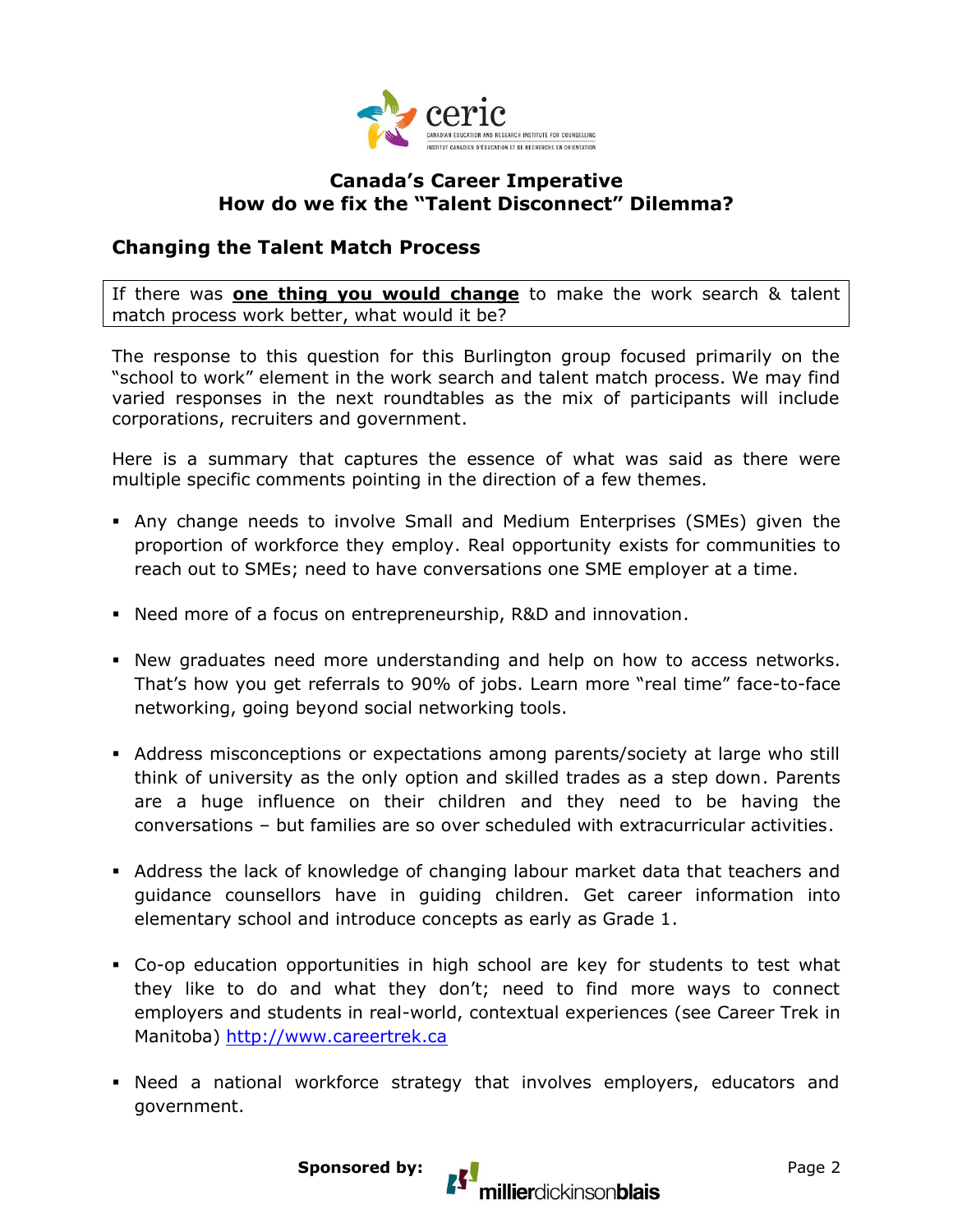

#### **Canada's Career Imperative How do we fix the "Talent Disconnect" Dilemma?**

### **Changing the Talent Match Process**

If there was **one thing you would change** to make the work search & talent match process work better, what would it be?

The response to this question for this Burlington group focused primarily on the "school to work" element in the work search and talent match process. We may find varied responses in the next roundtables as the mix of participants will include corporations, recruiters and government.

Here is a summary that captures the essence of what was said as there were multiple specific comments pointing in the direction of a few themes.

- Any change needs to involve Small and Medium Enterprises (SMEs) given the proportion of workforce they employ. Real opportunity exists for communities to reach out to SMEs; need to have conversations one SME employer at a time.
- Need more of a focus on entrepreneurship, R&D and innovation.
- New graduates need more understanding and help on how to access networks. That's how you get referrals to 90% of jobs. Learn more "real time" face-to-face networking, going beyond social networking tools.
- Address misconceptions or expectations among parents/society at large who still think of university as the only option and skilled trades as a step down. Parents are a huge influence on their children and they need to be having the conversations – but families are so over scheduled with extracurricular activities.
- Address the lack of knowledge of changing labour market data that teachers and guidance counsellors have in guiding children. Get career information into elementary school and introduce concepts as early as Grade 1.
- Co-op education opportunities in high school are key for students to test what they like to do and what they don't; need to find more ways to connect employers and students in real-world, contextual experiences (see Career Trek in Manitoba) [http://www.careertrek.ca](http://www.careertrek.ca/)
- Need a national workforce strategy that involves employers, educators and government.

millierdickinsonblais